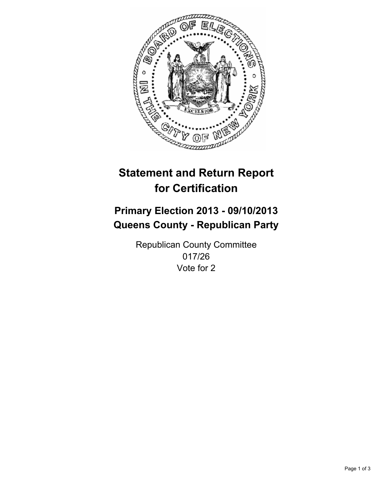

# **Statement and Return Report for Certification**

# **Primary Election 2013 - 09/10/2013 Queens County - Republican Party**

Republican County Committee 017/26 Vote for 2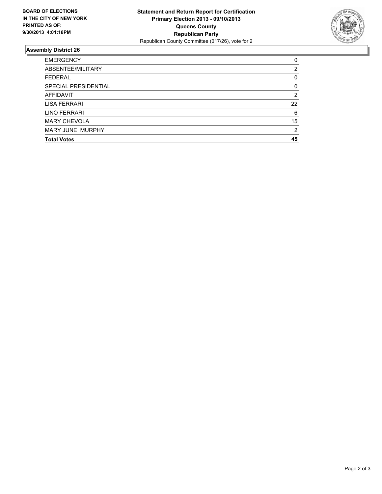

## **Assembly District 26**

| <b>EMERGENCY</b>     | 0        |
|----------------------|----------|
| ABSENTEE/MILITARY    | 2        |
| <b>FEDERAL</b>       | 0        |
| SPECIAL PRESIDENTIAL | $\Omega$ |
| <b>AFFIDAVIT</b>     | 2        |
| <b>LISA FERRARI</b>  | 22       |
| LINO FERRARI         | 6        |
| <b>MARY CHEVOLA</b>  | 15       |
| MARY JUNE MURPHY     | 2        |
| <b>Total Votes</b>   | 45       |